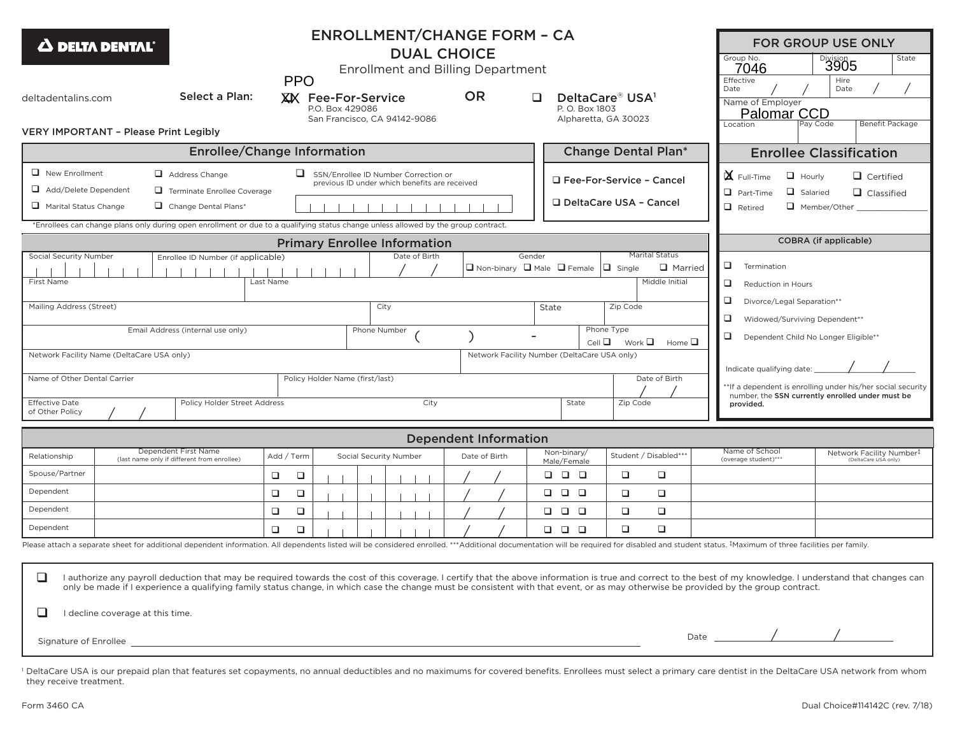| <b>ENROLLMENT/CHANGE FORM - CA</b><br>$\boldsymbol{\Delta}$ delta dental $^{\circ}$<br><b>DUAL CHOICE</b><br><b>Enrollment and Billing Department</b><br><b>PPO</b>                                                                                     |                                                                                                                                                                                                                                                                                                                                                                                                                                                                                                                                                                                                                                              |                                                                                                                                                                                                                             |                        |                              |               |                                                        |        |                                                                     |                                                                       |               |                                                                                                                                                    | Group No.<br>7046<br>Effective                                                                                                                            | <b>FOR GROUP USE ONLY</b><br>State<br><b>Division</b><br>3905<br>Hire |                                                  |  |  |  |  |  |
|---------------------------------------------------------------------------------------------------------------------------------------------------------------------------------------------------------------------------------------------------------|----------------------------------------------------------------------------------------------------------------------------------------------------------------------------------------------------------------------------------------------------------------------------------------------------------------------------------------------------------------------------------------------------------------------------------------------------------------------------------------------------------------------------------------------------------------------------------------------------------------------------------------------|-----------------------------------------------------------------------------------------------------------------------------------------------------------------------------------------------------------------------------|------------------------|------------------------------|---------------|--------------------------------------------------------|--------|---------------------------------------------------------------------|-----------------------------------------------------------------------|---------------|----------------------------------------------------------------------------------------------------------------------------------------------------|-----------------------------------------------------------------------------------------------------------------------------------------------------------|-----------------------------------------------------------------------|--------------------------------------------------|--|--|--|--|--|
| deltadentalins.com                                                                                                                                                                                                                                      | Select a Plan:                                                                                                                                                                                                                                                                                                                                                                                                                                                                                                                                                                                                                               | <b>OR</b><br>XX Fee-For-Service<br>$\Box$<br>P.O. Box 429086<br>San Francisco, CA 94142-9086                                                                                                                                |                        |                              |               |                                                        |        |                                                                     | DeltaCare® USA <sup>1</sup><br>P. O. Box 1803<br>Alpharetta, GA 30023 |               |                                                                                                                                                    | Date                                                                                                                                                      | Name of Employer<br>Palomar CCD                                       | Date                                             |  |  |  |  |  |
| <b>VERY IMPORTANT - Please Print Legibly</b>                                                                                                                                                                                                            |                                                                                                                                                                                                                                                                                                                                                                                                                                                                                                                                                                                                                                              |                                                                                                                                                                                                                             |                        |                              |               |                                                        |        |                                                                     |                                                                       |               |                                                                                                                                                    |                                                                                                                                                           | Location                                                              | Benefit Package<br>Pay Code                      |  |  |  |  |  |
| <b>Enrollee/Change Information</b><br><b>Change Dental Plan*</b>                                                                                                                                                                                        |                                                                                                                                                                                                                                                                                                                                                                                                                                                                                                                                                                                                                                              |                                                                                                                                                                                                                             |                        |                              |               |                                                        |        |                                                                     |                                                                       |               | <b>Enrollee Classification</b>                                                                                                                     |                                                                                                                                                           |                                                                       |                                                  |  |  |  |  |  |
| $\Box$ New Enrollment<br>Add/Delete Dependent<br>Marital Status Change                                                                                                                                                                                  |                                                                                                                                                                                                                                                                                                                                                                                                                                                                                                                                                                                                                                              | SSN/Enrollee ID Number Correction or<br>previous ID under which benefits are received<br>*Enrollees can change plans only during open enrollment or due to a qualifying status change unless allowed by the group contract. |                        |                              |               | □ Fee-For-Service - Cancel<br>□ DeltaCare USA - Cancel |        |                                                                     |                                                                       |               | $\mathbf{X}$ Full-Time<br>$\Box$ Hourly<br>$\Box$ Certified<br>$\Box$ Part-Time<br>Salaried<br>$\Box$ Classified<br>$\Box$ Retired<br>Member/Other |                                                                                                                                                           |                                                                       |                                                  |  |  |  |  |  |
| <b>Primary Enrollee Information</b>                                                                                                                                                                                                                     |                                                                                                                                                                                                                                                                                                                                                                                                                                                                                                                                                                                                                                              |                                                                                                                                                                                                                             |                        |                              |               |                                                        |        |                                                                     |                                                                       |               |                                                                                                                                                    |                                                                                                                                                           |                                                                       | COBRA (if applicable)                            |  |  |  |  |  |
| Social Security Number<br>First Name                                                                                                                                                                                                                    | Enrollee ID Number (if applicable)                                                                                                                                                                                                                                                                                                                                                                                                                                                                                                                                                                                                           | Last Name                                                                                                                                                                                                                   |                        | Date of Birth                |               | $\Box$ Non-binary $\Box$ Male $\Box$ Female            | Gender |                                                                     |                                                                       | $\Box$ Single | <b>Marital Status</b><br>$\Box$ Married<br>Middle Initial                                                                                          | $\Box$<br>❏                                                                                                                                               | Termination<br>Reduction in Hours<br>□<br>Divorce/Legal Separation**  |                                                  |  |  |  |  |  |
| City<br>Zip Code<br>Mailing Address (Street)<br>State<br>Phone Type<br>Email Address (internal use only)<br>Phone Number<br>$Cell \Box$<br>Work $\square$<br>Network Facility Name (DeltaCare USA only)<br>Network Facility Number (DeltaCare USA only) |                                                                                                                                                                                                                                                                                                                                                                                                                                                                                                                                                                                                                                              |                                                                                                                                                                                                                             |                        |                              |               |                                                        |        |                                                                     | Home $\square$                                                        | ❏<br>❏        | Widowed/Surviving Dependent**<br>Dependent Child No Longer Eligible**                                                                              |                                                                                                                                                           |                                                                       |                                                  |  |  |  |  |  |
| Name of Other Dental Carrier<br><b>Effective Date</b><br>of Other Policy                                                                                                                                                                                | Policy Holder Street Address                                                                                                                                                                                                                                                                                                                                                                                                                                                                                                                                                                                                                 | Policy Holder Name (first/last)<br>City                                                                                                                                                                                     |                        |                              |               | State                                                  |        |                                                                     | Date of Birth<br>Zip Code                                             |               |                                                                                                                                                    | Indicate qualifying date:<br>**If a dependent is enrolling under his/her social security<br>number, the SSN currently enrolled under must be<br>provided. |                                                                       |                                                  |  |  |  |  |  |
|                                                                                                                                                                                                                                                         |                                                                                                                                                                                                                                                                                                                                                                                                                                                                                                                                                                                                                                              |                                                                                                                                                                                                                             |                        | <b>Dependent Information</b> |               |                                                        |        |                                                                     |                                                                       |               |                                                                                                                                                    |                                                                                                                                                           |                                                                       |                                                  |  |  |  |  |  |
| Relationship<br>Spouse/Partner<br>Dependent                                                                                                                                                                                                             | Dependent First Name<br>(last name only if different from enrollee)                                                                                                                                                                                                                                                                                                                                                                                                                                                                                                                                                                          | Add / Term<br>$\Box$<br>$\Box$<br>$\Box$<br>$\Box$                                                                                                                                                                          | Social Security Number |                              | Date of Birth |                                                        |        | Non-binary/<br>Male/Female<br>$\Box$ $\Box$ $\Box$<br>$\Box$ $\Box$ | □                                                                     | □<br>□        | Student / Disabled***<br>$\Box$<br>□                                                                                                               |                                                                                                                                                           | Name of School<br>(overage student)***                                | Network Facility Number#<br>(DeltaCare USA only) |  |  |  |  |  |
| Dependent                                                                                                                                                                                                                                               |                                                                                                                                                                                                                                                                                                                                                                                                                                                                                                                                                                                                                                              | $\Box$<br>$\Box$                                                                                                                                                                                                            |                        |                              |               |                                                        |        | , , , ,                                                             |                                                                       | ❏             | $\Box$                                                                                                                                             |                                                                                                                                                           |                                                                       |                                                  |  |  |  |  |  |
| Dependent                                                                                                                                                                                                                                               | Please attach a separate sheet for additional dependent information. All dependents listed will be considered enrolled. ***Additional documentation will be required for disabled and student status. #Maximum of three facili                                                                                                                                                                                                                                                                                                                                                                                                               | $\Box$<br>$\Box$                                                                                                                                                                                                            |                        |                              |               |                                                        |        | $\Box$ $\Box$                                                       | □                                                                     | $\Box$        | $\Box$                                                                                                                                             |                                                                                                                                                           |                                                                       |                                                  |  |  |  |  |  |
| $\Box$<br>⊔<br>I decline coverage at this time.                                                                                                                                                                                                         | I authorize any payroll deduction that may be required towards the cost of this coverage. I certify that the above information is true and correct to the best of my knowledge. I understand that changes can<br>only be made if I experience a qualifying family status change, in which case the change must be consistent with that event, or as may otherwise be provided by the group contract.<br>Signature of Enrollee <u>Engineering and the second contract of the second contract of the second contract of the second contract of the second contract of the second contract of the second contract of the second contract of</u> |                                                                                                                                                                                                                             |                        |                              |               |                                                        |        |                                                                     |                                                                       |               |                                                                                                                                                    |                                                                                                                                                           |                                                                       |                                                  |  |  |  |  |  |
| they receive treatment.                                                                                                                                                                                                                                 | DeltaCare USA is our prepaid plan that features set copayments, no annual deductibles and no maximums for covered benefits. Enrollees must select a primary care dentist in the DeltaCare USA network from whom                                                                                                                                                                                                                                                                                                                                                                                                                              |                                                                                                                                                                                                                             |                        |                              |               |                                                        |        |                                                                     |                                                                       |               |                                                                                                                                                    |                                                                                                                                                           |                                                                       |                                                  |  |  |  |  |  |